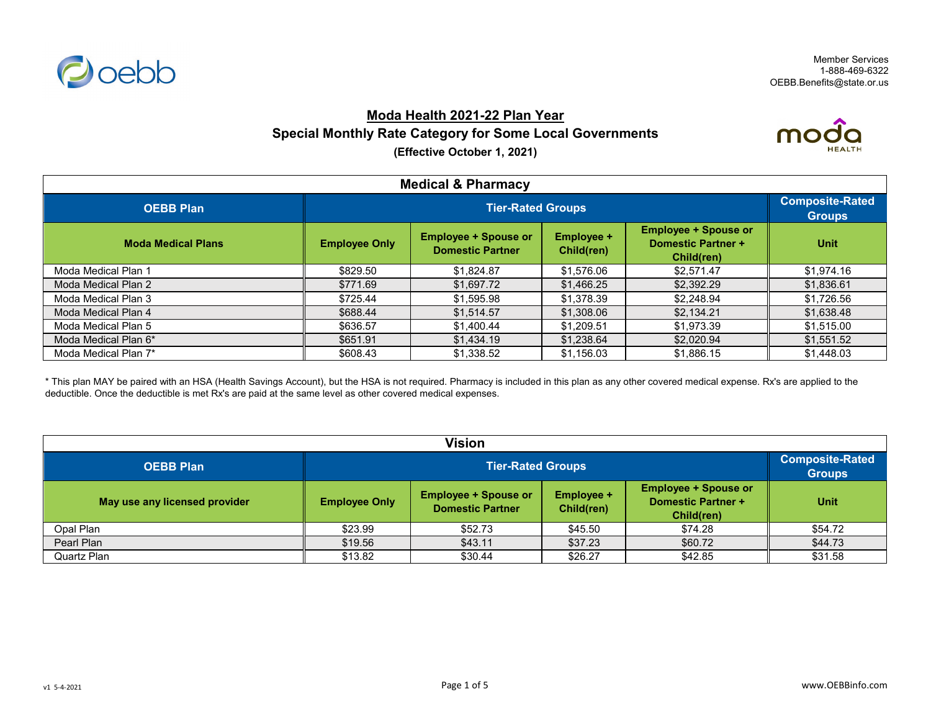

# **Moda Health 2021-22 Plan Year Special Monthly Rate Category for Some Local Governments**



**(Effective October 1, 2021)**

| <b>Medical &amp; Pharmacy</b> |                          |                                                        |                                 |                                                                        |                                         |  |
|-------------------------------|--------------------------|--------------------------------------------------------|---------------------------------|------------------------------------------------------------------------|-----------------------------------------|--|
| <b>OEBB Plan</b>              | <b>Tier-Rated Groups</b> |                                                        |                                 |                                                                        | <b>Composite-Rated</b><br><b>Groups</b> |  |
| <b>Moda Medical Plans</b>     | <b>Employee Only</b>     | <b>Employee + Spouse or</b><br><b>Domestic Partner</b> | <b>Employee +</b><br>Child(ren) | <b>Employee + Spouse or</b><br><b>Domestic Partner +</b><br>Child(ren) | <b>Unit</b>                             |  |
| Moda Medical Plan 1           | \$829.50                 | \$1,824.87                                             | \$1,576.06                      | \$2,571.47                                                             | \$1,974.16                              |  |
| Moda Medical Plan 2           | \$771.69                 | \$1,697.72                                             | \$1,466.25                      | \$2,392.29                                                             | \$1,836.61                              |  |
| Moda Medical Plan 3           | \$725.44                 | \$1,595.98                                             | \$1,378.39                      | \$2,248.94                                                             | \$1,726.56                              |  |
| Moda Medical Plan 4           | \$688.44                 | \$1,514.57                                             | \$1,308.06                      | \$2,134.21                                                             | \$1,638.48                              |  |
| Moda Medical Plan 5           | \$636.57                 | \$1,400.44                                             | \$1,209.51                      | \$1,973.39                                                             | \$1,515.00                              |  |
| Moda Medical Plan 6*          | \$651.91                 | \$1,434.19                                             | \$1,238.64                      | \$2,020.94                                                             | \$1,551.52                              |  |
| Moda Medical Plan 7*          | \$608.43                 | \$1,338.52                                             | \$1,156.03                      | \$1,886.15                                                             | \$1,448.03                              |  |

\* This plan MAY be paired with an HSA (Health Savings Account), but the HSA is not required. Pharmacy is included in this plan as any other covered medical expense. Rx's are applied to the deductible. Once the deductible is met Rx's are paid at the same level as other covered medical expenses.

| Vision                        |                      |                                                                                                                                                                     |         |         |         |  |  |
|-------------------------------|----------------------|---------------------------------------------------------------------------------------------------------------------------------------------------------------------|---------|---------|---------|--|--|
| <b>OEBB Plan</b>              |                      | <b>Tier-Rated Groups</b>                                                                                                                                            |         |         |         |  |  |
| May use any licensed provider | <b>Employee Only</b> | <b>Employee + Spouse or</b><br><b>Employee + Spouse or</b><br><b>Employee +</b><br><b>Domestic Partner +</b><br><b>Domestic Partner</b><br>Child(ren)<br>Child(ren) |         |         |         |  |  |
| Opal Plan                     | \$23.99              | \$52.73                                                                                                                                                             | \$45.50 | \$74.28 | \$54.72 |  |  |
| Pearl Plan                    | \$19.56              | \$43.11                                                                                                                                                             | \$37.23 | \$60.72 | \$44.73 |  |  |
| Quartz Plan                   | \$13.82              | \$30.44                                                                                                                                                             | \$26.27 | \$42.85 | \$31.58 |  |  |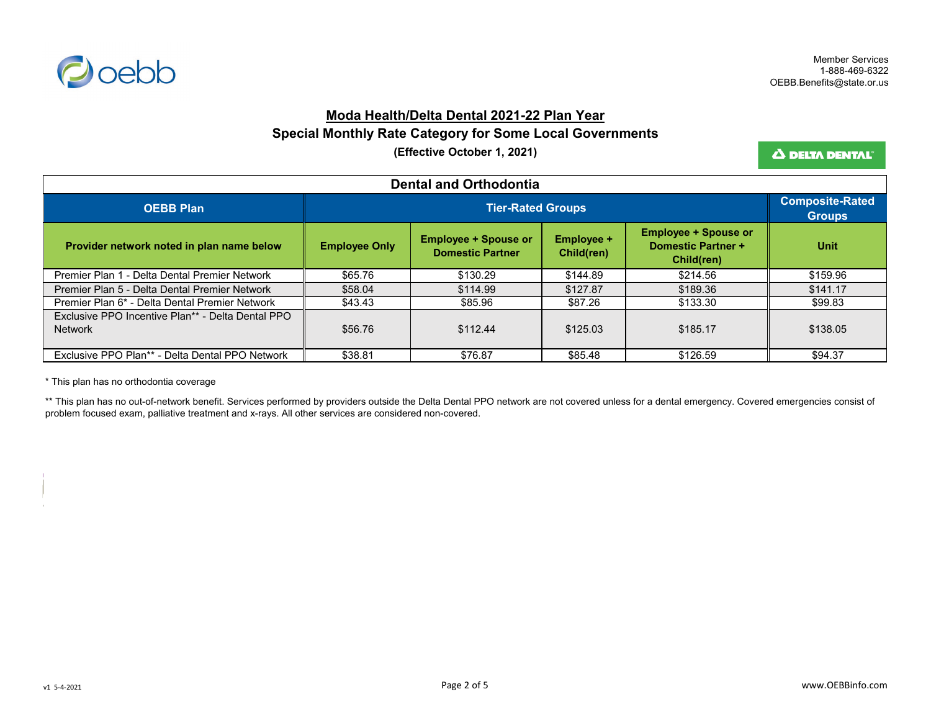

#### **Moda Health/Delta Dental 2021-22 Plan Year**

#### **Special Monthly Rate Category for Some Local Governments**

**(Effective October 1, 2021)**

Δ DELTA DENTAL<sup>®</sup>

| <b>Dental and Orthodontia</b>                                       |                      |                                                        |                                 |                                                                        |             |  |
|---------------------------------------------------------------------|----------------------|--------------------------------------------------------|---------------------------------|------------------------------------------------------------------------|-------------|--|
| <b>OEBB Plan</b>                                                    |                      | <b>Tier-Rated Groups</b>                               |                                 |                                                                        |             |  |
| Provider network noted in plan name below                           | <b>Employee Only</b> | <b>Employee + Spouse or</b><br><b>Domestic Partner</b> | <b>Employee +</b><br>Child(ren) | <b>Employee + Spouse or</b><br><b>Domestic Partner +</b><br>Child(ren) | <b>Unit</b> |  |
| Premier Plan 1 - Delta Dental Premier Network                       | \$65.76              | \$130.29                                               | \$144.89                        | \$214.56                                                               | \$159.96    |  |
| Premier Plan 5 - Delta Dental Premier Network                       | \$58.04              | \$114.99                                               | \$127.87                        | \$189.36                                                               | \$141.17    |  |
| Premier Plan 6* - Delta Dental Premier Network                      | \$43.43              | \$85.96                                                | \$87.26                         | \$133.30                                                               | \$99.83     |  |
| Exclusive PPO Incentive Plan** - Delta Dental PPO<br><b>Network</b> | \$56.76              | \$112.44                                               | \$125.03                        | \$185.17                                                               | \$138.05    |  |
| Exclusive PPO Plan** - Delta Dental PPO Network                     | \$38.81              | \$76.87                                                | \$85.48                         | \$126.59                                                               | \$94.37     |  |

\* This plan has no orthodontia coverage

\*\* This plan has no out-of-network benefit. Services performed by providers outside the Delta Dental PPO network are not covered unless for a dental emergency. Covered emergencies consist of problem focused exam, palliative treatment and x-rays. All other services are considered non-covered.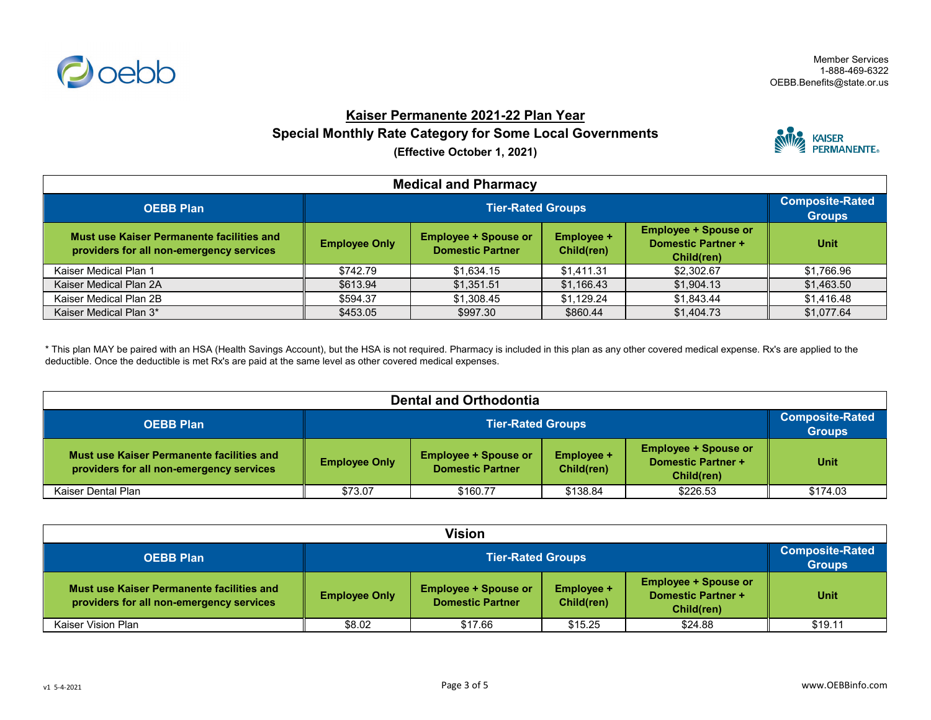

## **Kaiser Permanente 2021-22 Plan Year**

**Special Monthly Rate Category for Some Local Governments**

**(Effective October 1, 2021)**



| <b>Medical and Pharmacy</b>                                                           |                      |                                         |            |            |            |  |
|---------------------------------------------------------------------------------------|----------------------|-----------------------------------------|------------|------------|------------|--|
| <b>OEBB Plan</b>                                                                      |                      | <b>Composite-Rated</b><br><b>Groups</b> |            |            |            |  |
| Must use Kaiser Permanente facilities and<br>providers for all non-emergency services | <b>Employee Only</b> | <b>Unit</b>                             |            |            |            |  |
| Kaiser Medical Plan 1                                                                 | \$742.79             | \$1,634.15                              | \$1,411.31 | \$2,302.67 | \$1,766.96 |  |
| Kaiser Medical Plan 2A                                                                | \$613.94             | \$1,351.51                              | \$1,166.43 | \$1,904.13 | \$1,463.50 |  |
| Kaiser Medical Plan 2B                                                                | \$594.37             | \$1,308.45                              | \$1,129.24 | \$1,843.44 | \$1,416.48 |  |
| Kaiser Medical Plan 3*                                                                | \$453.05             | \$997.30                                | \$860.44   | \$1.404.73 | \$1,077.64 |  |

\* This plan MAY be paired with an HSA (Health Savings Account), but the HSA is not required. Pharmacy is included in this plan as any other covered medical expense. Rx's are applied to the deductible. Once the deductible is met Rx's are paid at the same level as other covered medical expenses.

| <b>Dental and Orthodontia</b>                                                         |                      |                                                                                                                                                              |          |          |          |  |
|---------------------------------------------------------------------------------------|----------------------|--------------------------------------------------------------------------------------------------------------------------------------------------------------|----------|----------|----------|--|
| <b>OEBB Plan</b>                                                                      |                      | <b>Tier-Rated Groups</b>                                                                                                                                     |          |          |          |  |
| Must use Kaiser Permanente facilities and<br>providers for all non-emergency services | <b>Employee Only</b> | <b>Employee + Spouse or</b><br><b>Employee + Spouse or</b><br>Employee +<br><b>Domestic Partner +</b><br><b>Domestic Partner</b><br>Child(ren)<br>Child(ren) |          |          |          |  |
| Kaiser Dental Plan                                                                    | \$73.07              | \$160.77                                                                                                                                                     | \$138.84 | \$226.53 | \$174.03 |  |

| <b>Vision</b>                                                                         |                      |                                                                                                                                                              |         |         |         |  |
|---------------------------------------------------------------------------------------|----------------------|--------------------------------------------------------------------------------------------------------------------------------------------------------------|---------|---------|---------|--|
| <b>OEBB Plan</b>                                                                      |                      | <b>Tier-Rated Groups</b>                                                                                                                                     |         |         |         |  |
| Must use Kaiser Permanente facilities and<br>providers for all non-emergency services | <b>Employee Only</b> | <b>Employee + Spouse or</b><br><b>Employee + Spouse or</b><br>Employee +<br><b>Domestic Partner +</b><br><b>Domestic Partner</b><br>Child(ren)<br>Child(ren) |         |         |         |  |
| Kaiser Vision Plan                                                                    | \$8.02               | \$17.66                                                                                                                                                      | \$15.25 | \$24.88 | \$19.11 |  |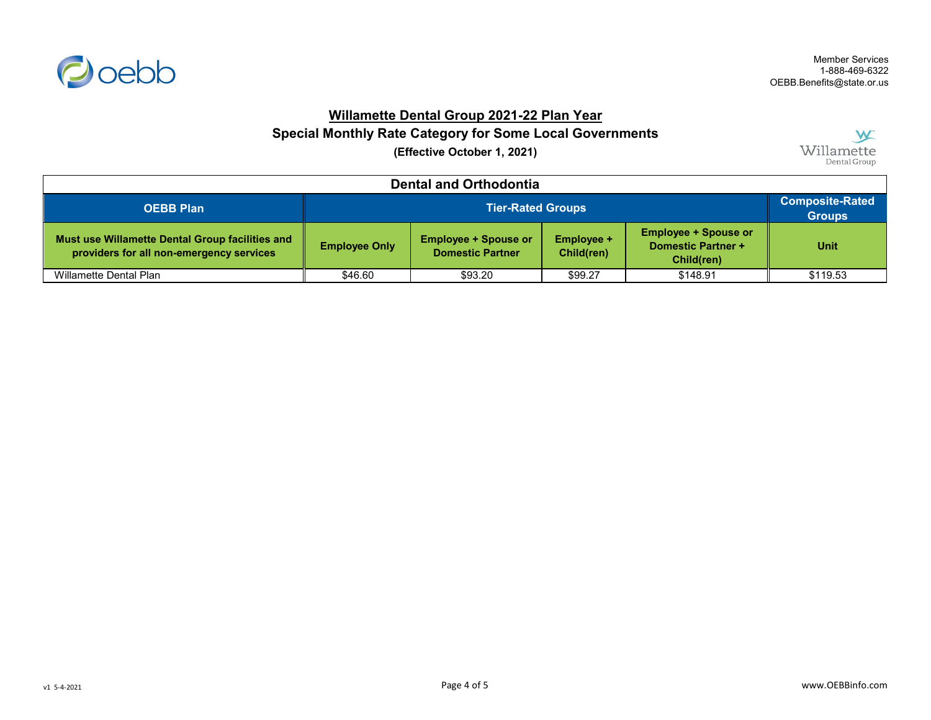

## **Willamette Dental Group 2021-22 Plan Year**

# **Special Monthly Rate Category for Some Local Governments**

**(Effective October 1, 2021)**



| <b>Dental and Orthodontia</b>                                                               |                      |                                                                                                                                                              |         |                                         |          |  |
|---------------------------------------------------------------------------------------------|----------------------|--------------------------------------------------------------------------------------------------------------------------------------------------------------|---------|-----------------------------------------|----------|--|
| <b>Tier-Rated Groups</b><br><b>OEBB Plan</b>                                                |                      |                                                                                                                                                              |         | <b>Composite-Rated</b><br><b>Groups</b> |          |  |
| Must use Willamette Dental Group facilities and<br>providers for all non-emergency services | <b>Employee Only</b> | <b>Employee + Spouse or</b><br><b>Employee + Spouse or</b><br>Employee +<br><b>Domestic Partner +</b><br><b>Domestic Partner</b><br>Child(ren)<br>Child(ren) |         |                                         |          |  |
| Willamette Dental Plan                                                                      | \$46.60              | \$93.20                                                                                                                                                      | \$99.27 | \$148.91                                | \$119.53 |  |